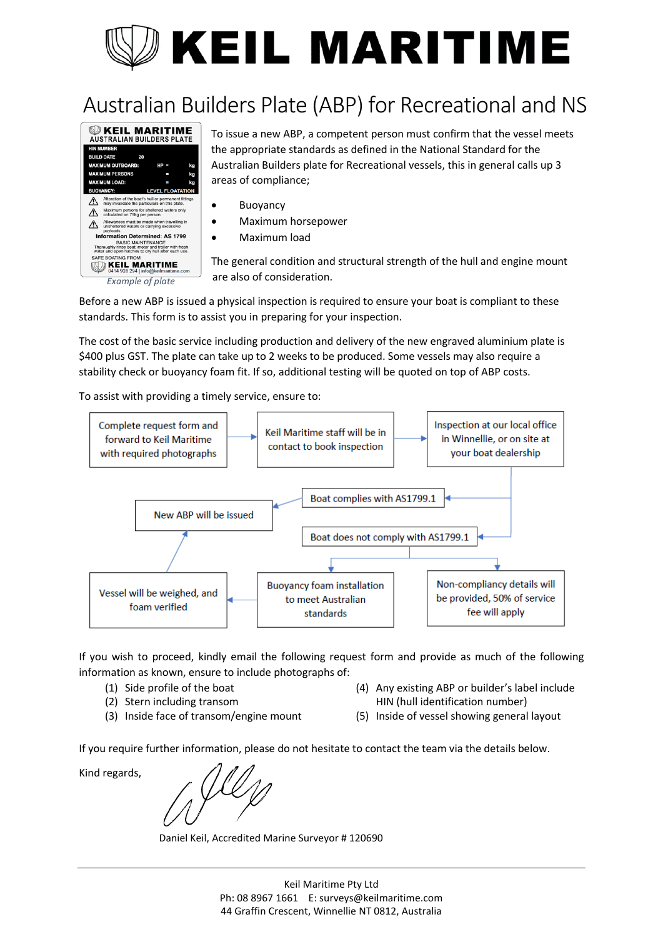# **KEIL MARITIME**

## Australian Builders Plate (ABP) for Recreational and NS



**EXEIL MARITIME** To issue a new ABP, a competent person must confirm that the vessel meets the appropriate standards as defined in the National Standard for the Australian Builders plate for Recreational vessels, this in general calls up 3 areas of compliance;

- Buoyancy
- Maximum horsepower
- Maximum load

The general condition and structural strength of the hull and engine mount are also of consideration.

Before a new ABP is issued a physical inspection is required to ensure your boat is compliant to these standards. This form is to assist you in preparing for your inspection.

The cost of the basic service including production and delivery of the new engraved aluminium plate is \$400 plus GST. The plate can take up to 2 weeks to be produced. Some vessels may also require a stability check or buoyancy foam fit. If so, additional testing will be quoted on top of ABP costs.

To assist with providing a timely service, ensure to:



If you wish to proceed, kindly email the following request form and provide as much of the following information as known, ensure to include photographs of:

- (1) Side profile of the boat
- (2) Stern including transom
- (3) Inside face of transom/engine mount
- (4) Any existing ABP or builder's label include HIN (hull identification number)
- (5) Inside of vessel showing general layout

If you require further information, please do not hesitate to contact the team via the details below.

Kind regards,

Daniel Keil, Accredited Marine Surveyor # 120690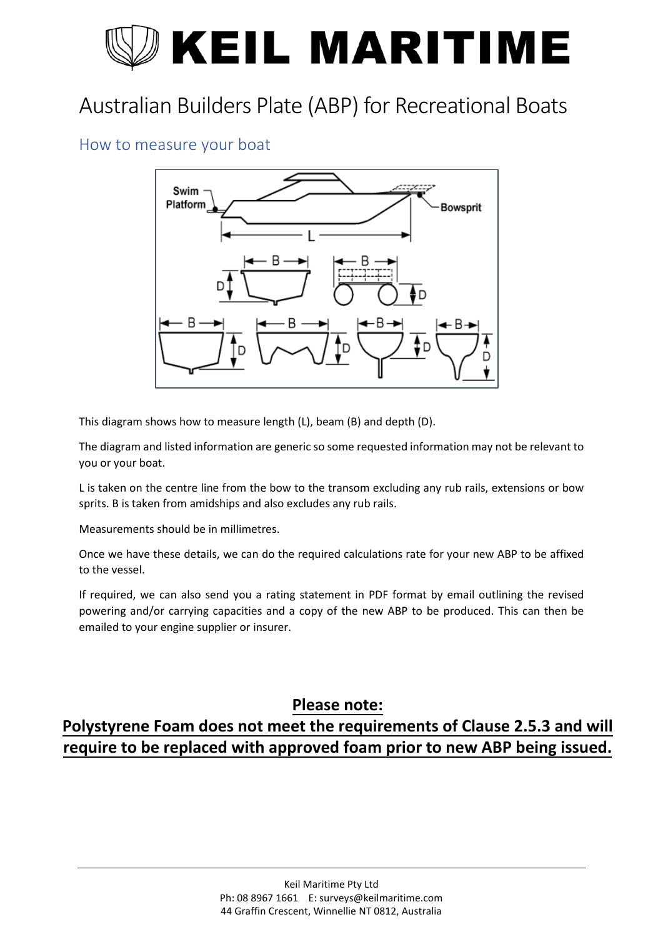# **KEIL MARITIME**

## Australian Builders Plate (ABP) for Recreational Boats

#### How to measure your boat



This diagram shows how to measure length (L), beam (B) and depth (D).

The diagram and listed information are generic so some requested information may not be relevant to you or your boat.

L is taken on the centre line from the bow to the transom excluding any rub rails, extensions or bow sprits. B is taken from amidships and also excludes any rub rails.

Measurements should be in millimetres.

Once we have these details, we can do the required calculations rate for your new ABP to be affixed to the vessel.

If required, we can also send you a rating statement in PDF format by email outlining the revised powering and/or carrying capacities and a copy of the new ABP to be produced. This can then be emailed to your engine supplier or insurer.

#### **Please note:**

### **Polystyrene Foam does not meet the requirements of Clause 2.5.3 and will require to be replaced with approved foam prior to new ABP being issued.**